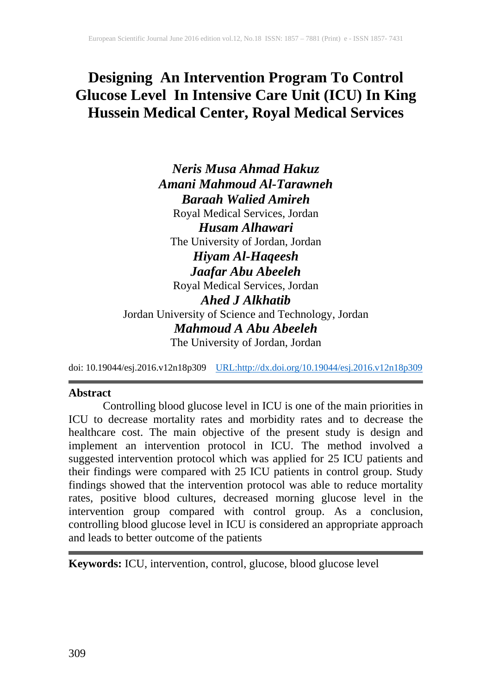# **Designing An Intervention Program To Control Glucose Level In Intensive Care Unit (ICU) In King Hussein Medical Center, Royal Medical Services**

*Neris Musa Ahmad Hakuz Amani Mahmoud Al-Tarawneh Baraah Walied Amireh* Royal Medical Services, Jordan *Husam Alhawari* The University of Jordan, Jordan *Hiyam Al-Haqeesh Jaafar Abu Abeeleh* Royal Medical Services, Jordan *Ahed J Alkhatib* Jordan University of Science and Technology, Jordan *Mahmoud A Abu Abeeleh* The University of Jordan, Jordan

doi: 10.19044/esj.2016.v12n18p309 [URL:http://dx.doi.org/10.19044/esj.2016.v12n18p309](http://dx.doi.org/10.19044/esj.2016.v12n18p309)

#### **Abstract**

Controlling blood glucose level in ICU is one of the main priorities in ICU to decrease mortality rates and morbidity rates and to decrease the healthcare cost. The main objective of the present study is design and implement an intervention protocol in ICU. The method involved a suggested intervention protocol which was applied for 25 ICU patients and their findings were compared with 25 ICU patients in control group. Study findings showed that the intervention protocol was able to reduce mortality rates, positive blood cultures, decreased morning glucose level in the intervention group compared with control group. As a conclusion, controlling blood glucose level in ICU is considered an appropriate approach and leads to better outcome of the patients

**Keywords:** ICU, intervention, control, glucose, blood glucose level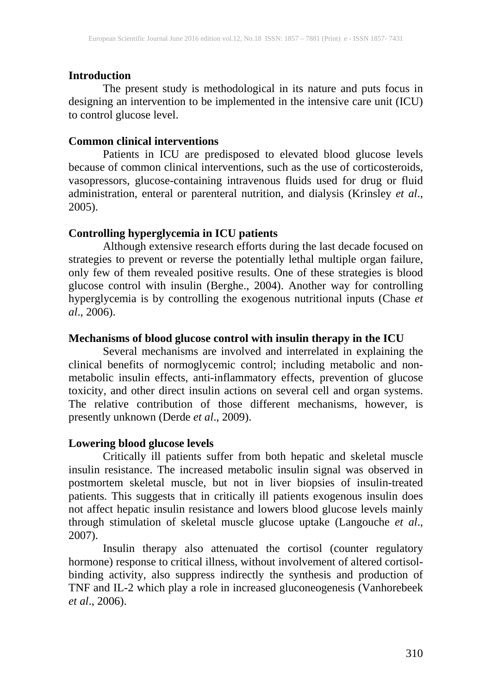#### **Introduction**

The present study is methodological in its nature and puts focus in designing an intervention to be implemented in the intensive care unit (ICU) to control glucose level.

#### **Common clinical interventions**

Patients in ICU are predisposed to elevated blood glucose levels because of common clinical interventions, such as the use of corticosteroids, vasopressors, glucose-containing intravenous fluids used for drug or fluid administration, enteral or parenteral nutrition, and dialysis (Krinsley *et al*., 2005).

## **Controlling hyperglycemia in ICU patients**

Although extensive research efforts during the last decade focused on strategies to prevent or reverse the potentially lethal multiple organ failure, only few of them revealed positive results. One of these strategies is blood glucose control with insulin (Berghe., 2004). Another way for controlling hyperglycemia is by controlling the exogenous nutritional inputs (Chase *et al*., 2006).

## **Mechanisms of blood glucose control with insulin therapy in the ICU**

Several mechanisms are involved and interrelated in explaining the clinical benefits of normoglycemic control; including metabolic and nonmetabolic insulin effects, anti-inflammatory effects, prevention of glucose toxicity, and other direct insulin actions on several cell and organ systems. The relative contribution of those different mechanisms, however, is presently unknown (Derde *et al*., 2009).

## **Lowering blood glucose levels**

Critically ill patients suffer from both hepatic and skeletal muscle insulin resistance. The increased metabolic insulin signal was observed in postmortem skeletal muscle, but not in liver biopsies of insulin-treated patients. This suggests that in critically ill patients exogenous insulin does not affect hepatic insulin resistance and lowers blood glucose levels mainly through stimulation of skeletal muscle glucose uptake (Langouche *et al*., 2007).

Insulin therapy also attenuated the cortisol (counter regulatory hormone) response to critical illness, without involvement of altered cortisolbinding activity, also suppress indirectly the synthesis and production of TNF and IL-2 which play a role in increased gluconeogenesis (Vanhorebeek *et al*., 2006).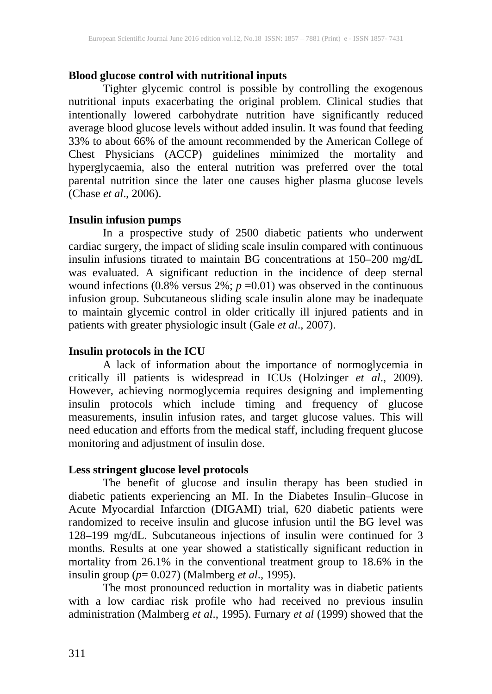## **Blood glucose control with nutritional inputs**

Tighter glycemic control is possible by controlling the exogenous nutritional inputs exacerbating the original problem. Clinical studies that intentionally lowered carbohydrate nutrition have significantly reduced average blood glucose levels without added insulin. It was found that feeding 33% to about 66% of the amount recommended by the American College of Chest Physicians (ACCP) guidelines minimized the mortality and hyperglycaemia, also the enteral nutrition was preferred over the total parental nutrition since the later one causes higher plasma glucose levels (Chase *et al*., 2006).

## **Insulin infusion pumps**

In a prospective study of 2500 diabetic patients who underwent cardiac surgery, the impact of sliding scale insulin compared with continuous insulin infusions titrated to maintain BG concentrations at 150–200 mg/dL was evaluated. A significant reduction in the incidence of deep sternal wound infections  $(0.8\%$  versus  $2\%$ ;  $p = 0.01$ ) was observed in the continuous infusion group. Subcutaneous sliding scale insulin alone may be inadequate to maintain glycemic control in older critically ill injured patients and in patients with greater physiologic insult (Gale *et al*., 2007).

#### **Insulin protocols in the ICU**

A lack of information about the importance of normoglycemia in critically ill patients is widespread in ICUs (Holzinger *et al*., 2009). However, achieving normoglycemia requires designing and implementing insulin protocols which include timing and frequency of glucose measurements, insulin infusion rates, and target glucose values. This will need education and efforts from the medical staff, including frequent glucose monitoring and adjustment of insulin dose.

#### **Less stringent glucose level protocols**

The benefit of glucose and insulin therapy has been studied in diabetic patients experiencing an MI. In the Diabetes Insulin–Glucose in Acute Myocardial Infarction (DIGAMI) trial, 620 diabetic patients were randomized to receive insulin and glucose infusion until the BG level was 128–199 mg/dL. Subcutaneous injections of insulin were continued for 3 months. Results at one year showed a statistically significant reduction in mortality from 26.1% in the conventional treatment group to 18.6% in the insulin group (*p*= 0.027) (Malmberg *et al*., 1995).

The most pronounced reduction in mortality was in diabetic patients with a low cardiac risk profile who had received no previous insulin administration (Malmberg *et al*., 1995). Furnary *et al* (1999) showed that the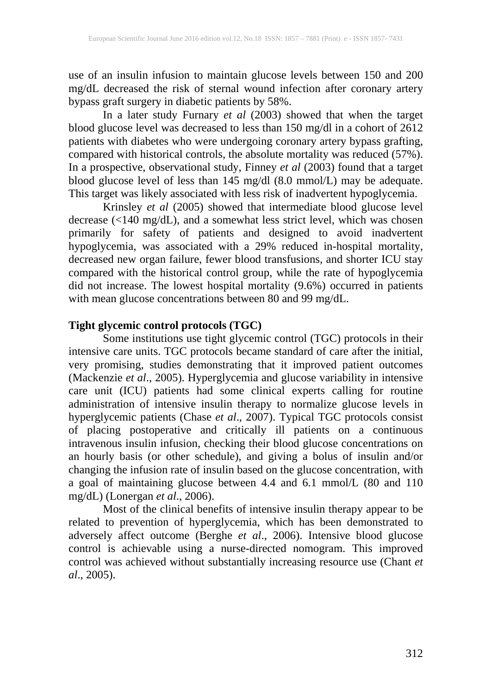use of an insulin infusion to maintain glucose levels between 150 and 200 mg/dL decreased the risk of sternal wound infection after coronary artery bypass graft surgery in diabetic patients by 58%.

In a later study Furnary *et al* (2003) showed that when the target blood glucose level was decreased to less than 150 mg/dl in a cohort of 2612 patients with diabetes who were undergoing coronary artery bypass grafting, compared with historical controls, the absolute mortality was reduced (57%). In a prospective, observational study, Finney *et al* (2003) found that a target blood glucose level of less than 145 mg/dl (8.0 mmol/L) may be adequate. This target was likely associated with less risk of inadvertent hypoglycemia.

Krinsley *et al* (2005) showed that intermediate blood glucose level decrease (<140 mg/dL), and a somewhat less strict level, which was chosen primarily for safety of patients and designed to avoid inadvertent hypoglycemia, was associated with a 29% reduced in-hospital mortality, decreased new organ failure, fewer blood transfusions, and shorter ICU stay compared with the historical control group, while the rate of hypoglycemia did not increase. The lowest hospital mortality (9.6%) occurred in patients with mean glucose concentrations between 80 and 99 mg/dL.

## **Tight glycemic control protocols (TGC)**

Some institutions use tight glycemic control (TGC) protocols in their intensive care units. TGC protocols became standard of care after the initial, very promising, studies demonstrating that it improved patient outcomes (Mackenzie *et al*., 2005). Hyperglycemia and glucose variability in intensive care unit (ICU) patients had some clinical experts calling for routine administration of intensive insulin therapy to normalize glucose levels in hyperglycemic patients (Chase *et al*., 2007). Typical TGC protocols consist of placing postoperative and critically ill patients on a continuous intravenous insulin infusion, checking their blood glucose concentrations on an hourly basis (or other schedule), and giving a bolus of insulin and/or changing the infusion rate of insulin based on the glucose concentration, with a goal of maintaining glucose between 4.4 and 6.1 mmol/L (80 and 110 mg/dL) (Lonergan *et al*., 2006).

Most of the clinical benefits of intensive insulin therapy appear to be related to prevention of hyperglycemia, which has been demonstrated to adversely affect outcome (Berghe *et al*., 2006). Intensive blood glucose control is achievable using a nurse-directed nomogram. This improved control was achieved without substantially increasing resource use (Chant *et al*., 2005).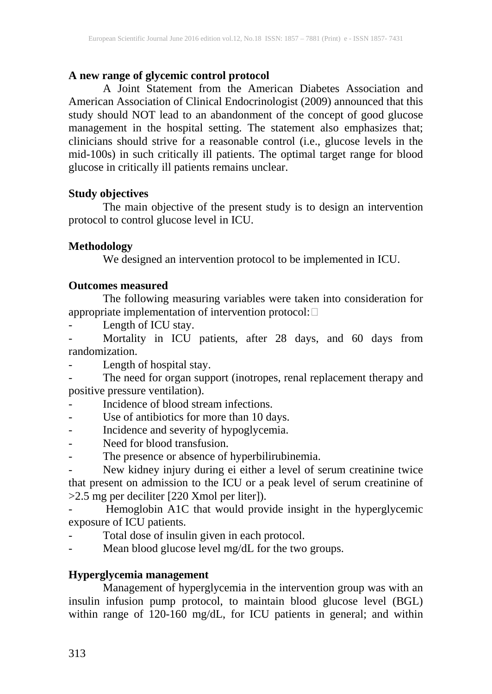## **A new range of glycemic control protocol**

A Joint Statement from the American Diabetes Association and American Association of Clinical Endocrinologist (2009) announced that this study should NOT lead to an abandonment of the concept of good glucose management in the hospital setting. The statement also emphasizes that; clinicians should strive for a reasonable control (i.e., glucose levels in the mid-100s) in such critically ill patients. The optimal target range for blood glucose in critically ill patients remains unclear.

## **Study objectives**

The main objective of the present study is to design an intervention protocol to control glucose level in ICU.

## **Methodology**

We designed an intervention protocol to be implemented in ICU.

## **Outcomes measured**

The following measuring variables were taken into consideration for appropriate implementation of intervention protocol:  $\square$ 

Length of ICU stay.

Mortality in ICU patients, after 28 days, and 60 days from randomization.

Length of hospital stay.

The need for organ support (inotropes, renal replacement therapy and positive pressure ventilation).

- Incidence of blood stream infections.
- Use of antibiotics for more than 10 days.
- Incidence and severity of hypoglycemia.
- Need for blood transfusion.
- The presence or absence of hyperbilirubinemia.

- New kidney injury during ei either a level of serum creatinine twice that present on admission to the ICU or a peak level of serum creatinine of >2.5 mg per deciliter [220 Xmol per liter]).

- Hemoglobin A1C that would provide insight in the hyperglycemic exposure of ICU patients.

- Total dose of insulin given in each protocol.
- Mean blood glucose level mg/dL for the two groups.

## **Hyperglycemia management**

Management of hyperglycemia in the intervention group was with an insulin infusion pump protocol, to maintain blood glucose level (BGL) within range of 120-160 mg/dL, for ICU patients in general; and within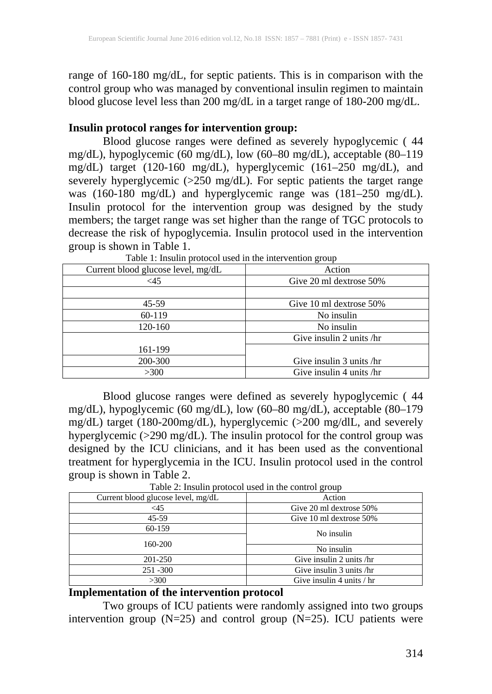range of 160-180 mg/dL, for septic patients. This is in comparison with the control group who was managed by conventional insulin regimen to maintain blood glucose level less than 200 mg/dL in a target range of 180-200 mg/dL.

#### **Insulin protocol ranges for intervention group:**

Blood glucose ranges were defined as severely hypoglycemic ( 44 mg/dL), hypoglycemic (60 mg/dL), low (60–80 mg/dL), acceptable (80–119 mg/dL) target (120-160 mg/dL), hyperglycemic (161–250 mg/dL), and severely hyperglycemic (>250 mg/dL). For septic patients the target range was (160-180 mg/dL) and hyperglycemic range was (181–250 mg/dL). Insulin protocol for the intervention group was designed by the study members; the target range was set higher than the range of TGC protocols to decrease the risk of hypoglycemia. Insulin protocol used in the intervention group is shown in Table 1.

| Current blood glucose level, mg/dL | Action                   |  |
|------------------------------------|--------------------------|--|
| $\leq$ 45                          | Give 20 ml dextrose 50%  |  |
|                                    |                          |  |
| $45 - 59$                          | Give 10 ml dextrose 50%  |  |
| 60-119                             | No insulin               |  |
| 120-160                            | No insulin               |  |
|                                    | Give insulin 2 units /hr |  |
| 161-199                            |                          |  |
| 200-300                            | Give insulin 3 units /hr |  |
| >300                               | Give insulin 4 units /hr |  |

Table 1: Insulin protocol used in the intervention group

Blood glucose ranges were defined as severely hypoglycemic ( 44 mg/dL), hypoglycemic (60 mg/dL), low (60–80 mg/dL), acceptable (80–179 mg/dL) target (180-200mg/dL), hyperglycemic (>200 mg/dlL, and severely hyperglycemic (>290 mg/dL). The insulin protocol for the control group was designed by the ICU clinicians, and it has been used as the conventional treatment for hyperglycemia in the ICU. Insulin protocol used in the control group is shown in Table 2.

Table 2: Insulin protocol used in the control group

| Current blood glucose level, mg/dL | Action                      |  |  |
|------------------------------------|-----------------------------|--|--|
| <45                                | Give 20 ml dextrose 50%     |  |  |
| $45-59$                            | Give 10 ml dextrose 50%     |  |  |
| 60-159                             | No insulin                  |  |  |
| 160-200                            |                             |  |  |
|                                    | No insulin                  |  |  |
| 201-250                            | Give insulin 2 units /hr    |  |  |
| 251 - 300                          | Give insulin 3 units /hr    |  |  |
| >300                               | Give insulin 4 units $/$ hr |  |  |

## **Implementation of the intervention protocol**

Two groups of ICU patients were randomly assigned into two groups intervention group  $(N=25)$  and control group  $(N=25)$ . ICU patients were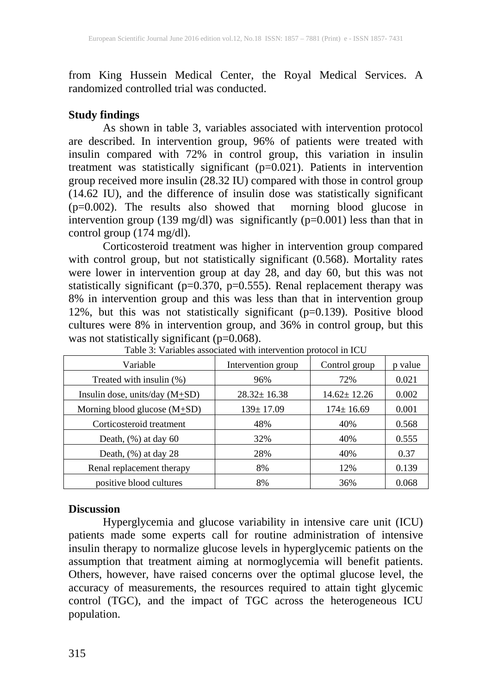from King Hussein Medical Center, the Royal Medical Services. A randomized controlled trial was conducted.

## **Study findings**

As shown in table 3, variables associated with intervention protocol are described. In intervention group, 96% of patients were treated with insulin compared with 72% in control group, this variation in insulin treatment was statistically significant (p=0.021). Patients in intervention group received more insulin (28.32 IU) compared with those in control group (14.62 IU), and the difference of insulin dose was statistically significant (p=0.002). The results also showed that morning blood glucose in intervention group (139 mg/dl) was significantly ( $p=0.001$ ) less than that in control group  $(174 \text{ mg/dl})$ .

Corticosteroid treatment was higher in intervention group compared with control group, but not statistically significant (0.568). Mortality rates were lower in intervention group at day 28, and day 60, but this was not statistically significant ( $p=0.370$ ,  $p=0.555$ ). Renal replacement therapy was 8% in intervention group and this was less than that in intervention group 12%, but this was not statistically significant (p=0.139). Positive blood cultures were 8% in intervention group, and 36% in control group, but this was not statistically significant  $(p=0.068)$ .

| Variable                         | Intervention group | Control group     | p value |
|----------------------------------|--------------------|-------------------|---------|
| Treated with insulin (%)         | 96%                | 72%               | 0.021   |
| Insulin dose, units/day $(M+SD)$ | $28.32 \pm 16.38$  | $14.62 \pm 12.26$ | 0.002   |
| Morning blood glucose $(M+SD)$   | $139 \pm 17.09$    | $174 \pm 16.69$   | 0.001   |
| Corticosteroid treatment         | 48%                | 40%               | 0.568   |
| Death, $(\%)$ at day 60          | 32%                | 40%               | 0.555   |
| Death, $(\%)$ at day 28          | 28%                | 40%               | 0.37    |
| Renal replacement therapy        | 8%                 | 12%               | 0.139   |
| positive blood cultures          | 8%                 | 36%               | 0.068   |

Table 3: Variables associated with intervention protocol in ICU

#### **Discussion**

Hyperglycemia and glucose variability in intensive care unit (ICU) patients made some experts call for routine administration of intensive insulin therapy to normalize glucose levels in hyperglycemic patients on the assumption that treatment aiming at normoglycemia will benefit patients. Others, however, have raised concerns over the optimal glucose level, the accuracy of measurements, the resources required to attain tight glycemic control (TGC), and the impact of TGC across the heterogeneous ICU population.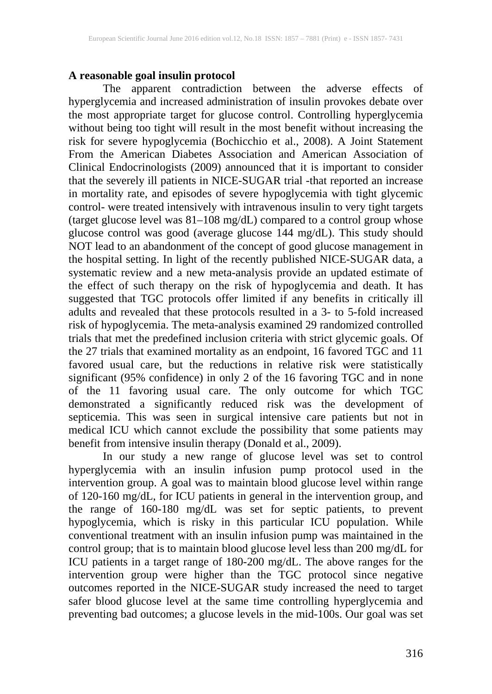## **A reasonable goal insulin protocol**

The apparent contradiction between the adverse effects of hyperglycemia and increased administration of insulin provokes debate over the most appropriate target for glucose control. Controlling hyperglycemia without being too tight will result in the most benefit without increasing the risk for severe hypoglycemia (Bochicchio et al., 2008). A Joint Statement From the American Diabetes Association and American Association of Clinical Endocrinologists (2009) announced that it is important to consider that the severely ill patients in NICE-SUGAR trial -that reported an increase in mortality rate, and episodes of severe hypoglycemia with tight glycemic control- were treated intensively with intravenous insulin to very tight targets (target glucose level was 81–108 mg/dL) compared to a control group whose glucose control was good (average glucose 144 mg/dL). This study should NOT lead to an abandonment of the concept of good glucose management in the hospital setting. In light of the recently published NICE-SUGAR data, a systematic review and a new meta-analysis provide an updated estimate of the effect of such therapy on the risk of hypoglycemia and death. It has suggested that TGC protocols offer limited if any benefits in critically ill adults and revealed that these protocols resulted in a 3- to 5-fold increased risk of hypoglycemia. The meta-analysis examined 29 randomized controlled trials that met the predefined inclusion criteria with strict glycemic goals. Of the 27 trials that examined mortality as an endpoint, 16 favored TGC and 11 favored usual care, but the reductions in relative risk were statistically significant (95% confidence) in only 2 of the 16 favoring TGC and in none of the 11 favoring usual care. The only outcome for which TGC demonstrated a significantly reduced risk was the development of septicemia. This was seen in surgical intensive care patients but not in medical ICU which cannot exclude the possibility that some patients may benefit from intensive insulin therapy (Donald et al., 2009).

In our study a new range of glucose level was set to control hyperglycemia with an insulin infusion pump protocol used in the intervention group. A goal was to maintain blood glucose level within range of 120-160 mg/dL, for ICU patients in general in the intervention group, and the range of 160-180 mg/dL was set for septic patients, to prevent hypoglycemia, which is risky in this particular ICU population. While conventional treatment with an insulin infusion pump was maintained in the control group; that is to maintain blood glucose level less than 200 mg/dL for ICU patients in a target range of 180-200 mg/dL. The above ranges for the intervention group were higher than the TGC protocol since negative outcomes reported in the NICE-SUGAR study increased the need to target safer blood glucose level at the same time controlling hyperglycemia and preventing bad outcomes; a glucose levels in the mid-100s. Our goal was set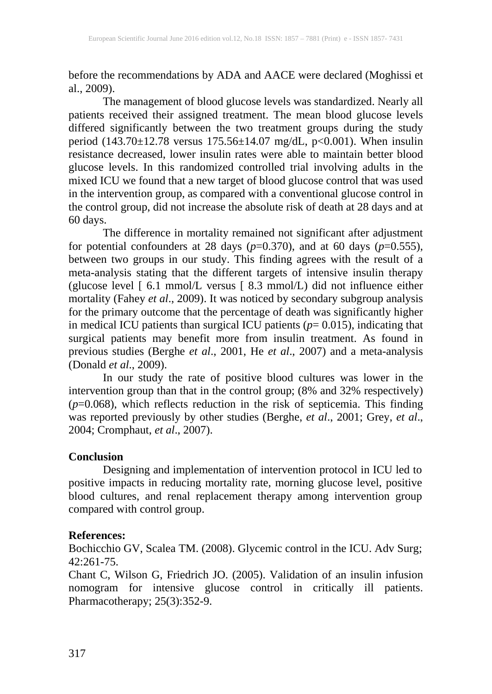before the recommendations by ADA and AACE were declared (Moghissi et al., 2009).

The management of blood glucose levels was standardized. Nearly all patients received their assigned treatment. The mean blood glucose levels differed significantly between the two treatment groups during the study period (143.70±12.78 versus 175.56±14.07 mg/dL, p<0.001). When insulin resistance decreased, lower insulin rates were able to maintain better blood glucose levels. In this randomized controlled trial involving adults in the mixed ICU we found that a new target of blood glucose control that was used in the intervention group, as compared with a conventional glucose control in the control group, did not increase the absolute risk of death at 28 days and at 60 days.

The difference in mortality remained not significant after adjustment for potential confounders at 28 days  $(p=0.370)$ , and at 60 days  $(p=0.555)$ , between two groups in our study. This finding agrees with the result of a meta-analysis stating that the different targets of intensive insulin therapy (glucose level [ 6.1 mmol/L versus [ 8.3 mmol/L) did not influence either mortality (Fahey *et al*., 2009). It was noticed by secondary subgroup analysis for the primary outcome that the percentage of death was significantly higher in medical ICU patients than surgical ICU patients  $(p= 0.015)$ , indicating that surgical patients may benefit more from insulin treatment. As found in previous studies (Berghe *et al*., 2001, He *et al*., 2007) and a meta-analysis (Donald *et al*., 2009).

In our study the rate of positive blood cultures was lower in the intervention group than that in the control group; (8% and 32% respectively) (*p*=0.068), which reflects reduction in the risk of septicemia. This finding was reported previously by other studies (Berghe, *et al*., 2001; Grey, *et al*., 2004; Cromphaut, *et al*., 2007).

#### **Conclusion**

Designing and implementation of intervention protocol in ICU led to positive impacts in reducing mortality rate, morning glucose level, positive blood cultures, and renal replacement therapy among intervention group compared with control group.

#### **References:**

Bochicchio GV, Scalea TM. (2008). Glycemic control in the ICU. Adv Surg; 42:261-75.

Chant C, Wilson G, Friedrich JO. (2005). Validation of an insulin infusion nomogram for intensive glucose control in critically ill patients. Pharmacotherapy; 25(3):352-9.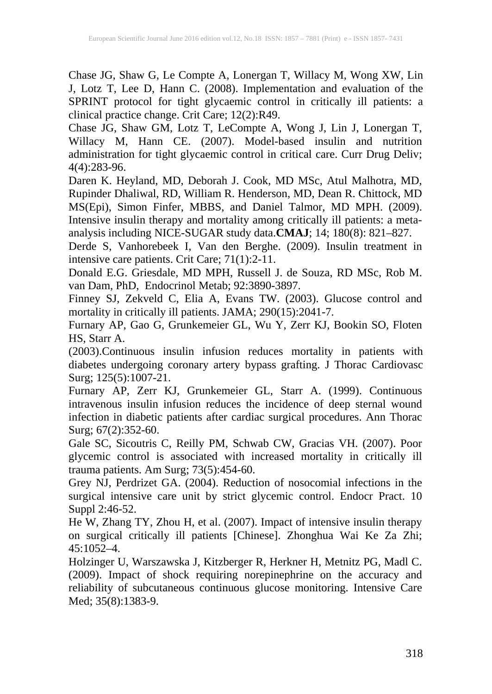Chase JG, Shaw G, Le Compte A, Lonergan T, Willacy M, Wong XW, Lin J, Lotz T, Lee D, Hann C. (2008). Implementation and evaluation of the SPRINT protocol for tight glycaemic control in critically ill patients: a clinical practice change. Crit Care; 12(2):R49.

Chase JG, Shaw GM, Lotz T, LeCompte A, Wong J, Lin J, Lonergan T, Willacy M, Hann CE. (2007). Model-based insulin and nutrition administration for tight glycaemic control in critical care. Curr Drug Deliv; 4(4):283-96.

Daren K. Heyland, MD, Deborah J. Cook, MD MSc, Atul Malhotra, MD, Rupinder Dhaliwal, RD, William R. Henderson, MD, Dean R. Chittock, MD MS(Epi), Simon Finfer, MBBS, and Daniel Talmor, MD MPH. (2009). Intensive insulin therapy and mortality among critically ill patients: a metaanalysis including NICE-SUGAR study data.**CMAJ**; 14; 180(8): 821–827.

Derde S, Vanhorebeek I, Van den Berghe. (2009). Insulin treatment in intensive care patients. Crit Care; 71(1):2-11.

Donald E.G. Griesdale, MD MPH, Russell J. de Souza, RD MSc, Rob M. van Dam, PhD, Endocrinol Metab; 92:3890-3897.

Finney SJ, Zekveld C, Elia A, Evans TW. (2003). Glucose control and mortality in critically ill patients. JAMA; 290(15):2041-7.

Furnary AP, Gao G, Grunkemeier GL, Wu Y, Zerr KJ, Bookin SO, Floten HS, Starr A.

(2003).Continuous insulin infusion reduces mortality in patients with diabetes undergoing coronary artery bypass grafting. J Thorac Cardiovasc Surg; 125(5):1007-21.

Furnary AP, Zerr KJ, Grunkemeier GL, Starr A. (1999). Continuous intravenous insulin infusion reduces the incidence of deep sternal wound infection in diabetic patients after cardiac surgical procedures. Ann Thorac Surg; 67(2):352-60.

Gale SC, Sicoutris C, Reilly PM, Schwab CW, Gracias VH. (2007). Poor glycemic control is associated with increased mortality in critically ill trauma patients. Am Surg; 73(5):454-60.

Grey NJ, Perdrizet GA. (2004). Reduction of nosocomial infections in the surgical intensive care unit by strict glycemic control. Endocr Pract. 10 Suppl 2:46-52.

He W, Zhang TY, Zhou H, et al. (2007). Impact of intensive insulin therapy on surgical critically ill patients [Chinese]. Zhonghua Wai Ke Za Zhi;  $45:1052 - 4$ .

Holzinger U, Warszawska J, Kitzberger R, Herkner H, Metnitz PG, Madl C. (2009). Impact of shock requiring norepinephrine on the accuracy and reliability of subcutaneous continuous glucose monitoring. Intensive Care Med; 35(8):1383-9.